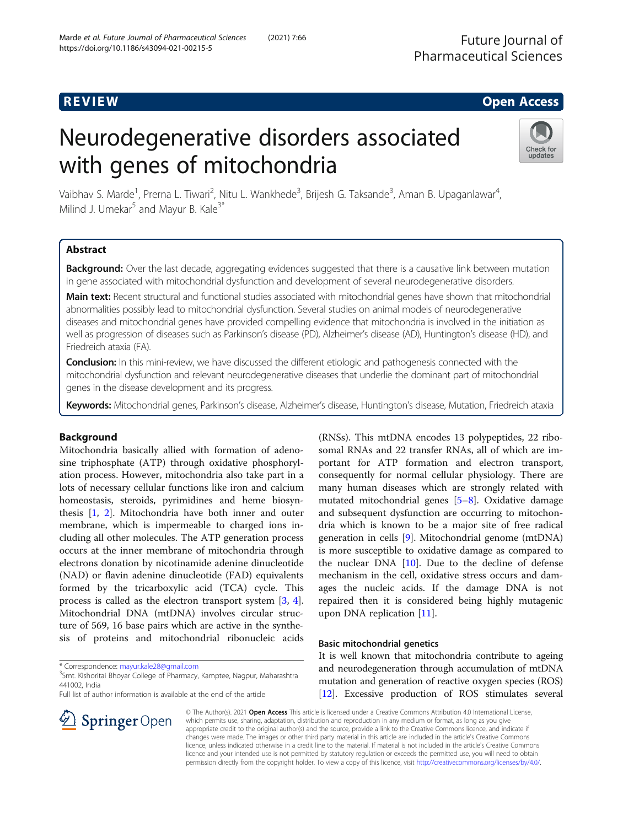## **REVIEW CONSTRUCTION CONSTRUCTION CONSTRUCTS**

# Neurodegenerative disorders associated with genes of mitochondria



Vaibhav S. Marde<sup>1</sup>, Prerna L. Tiwari<sup>2</sup>, Nitu L. Wankhede<sup>3</sup>, Brijesh G. Taksande<sup>3</sup>, Aman B. Upaganlawar<sup>4</sup> , Milind J. Umekar $^5$  and Mayur B. Kale<sup>3\*</sup>

#### Abstract

Background: Over the last decade, aggregating evidences suggested that there is a causative link between mutation in gene associated with mitochondrial dysfunction and development of several neurodegenerative disorders.

Main text: Recent structural and functional studies associated with mitochondrial genes have shown that mitochondrial abnormalities possibly lead to mitochondrial dysfunction. Several studies on animal models of neurodegenerative diseases and mitochondrial genes have provided compelling evidence that mitochondria is involved in the initiation as well as progression of diseases such as Parkinson's disease (PD), Alzheimer's disease (AD), Huntington's disease (HD), and Friedreich ataxia (FA).

**Conclusion:** In this mini-review, we have discussed the different etiologic and pathogenesis connected with the mitochondrial dysfunction and relevant neurodegenerative diseases that underlie the dominant part of mitochondrial genes in the disease development and its progress.

Keywords: Mitochondrial genes, Parkinson's disease, Alzheimer's disease, Huntington's disease, Mutation, Friedreich ataxia

#### Background

Mitochondria basically allied with formation of adenosine triphosphate (ATP) through oxidative phosphorylation process. However, mitochondria also take part in a lots of necessary cellular functions like iron and calcium homeostasis, steroids, pyrimidines and heme biosynthesis [[1,](#page-5-0) [2\]](#page-5-0). Mitochondria have both inner and outer membrane, which is impermeable to charged ions including all other molecules. The ATP generation process occurs at the inner membrane of mitochondria through electrons donation by nicotinamide adenine dinucleotide (NAD) or flavin adenine dinucleotide (FAD) equivalents formed by the tricarboxylic acid (TCA) cycle. This process is called as the electron transport system [[3](#page-5-0), [4](#page-5-0)]. Mitochondrial DNA (mtDNA) involves circular structure of 569, 16 base pairs which are active in the synthesis of proteins and mitochondrial ribonucleic acids

\* Correspondence: [mayur.kale28@gmail.com](mailto:mayur.kale28@gmail.com) <sup>3</sup>

<sup>3</sup>Smt. Kishoritai Bhoyar College of Pharmacy, Kamptee, Nagpur, Maharashtra 441002, India

Full list of author information is available at the end of the article



#### Basic mitochondrial genetics

It is well known that mitochondria contribute to ageing and neurodegeneration through accumulation of mtDNA mutation and generation of reactive oxygen species (ROS) [[12](#page-5-0)]. Excessive production of ROS stimulates several



© The Author(s). 2021 Open Access This article is licensed under a Creative Commons Attribution 4.0 International License, which permits use, sharing, adaptation, distribution and reproduction in any medium or format, as long as you give appropriate credit to the original author(s) and the source, provide a link to the Creative Commons licence, and indicate if changes were made. The images or other third party material in this article are included in the article's Creative Commons licence, unless indicated otherwise in a credit line to the material. If material is not included in the article's Creative Commons licence and your intended use is not permitted by statutory regulation or exceeds the permitted use, you will need to obtain permission directly from the copyright holder. To view a copy of this licence, visit <http://creativecommons.org/licenses/by/4.0/>.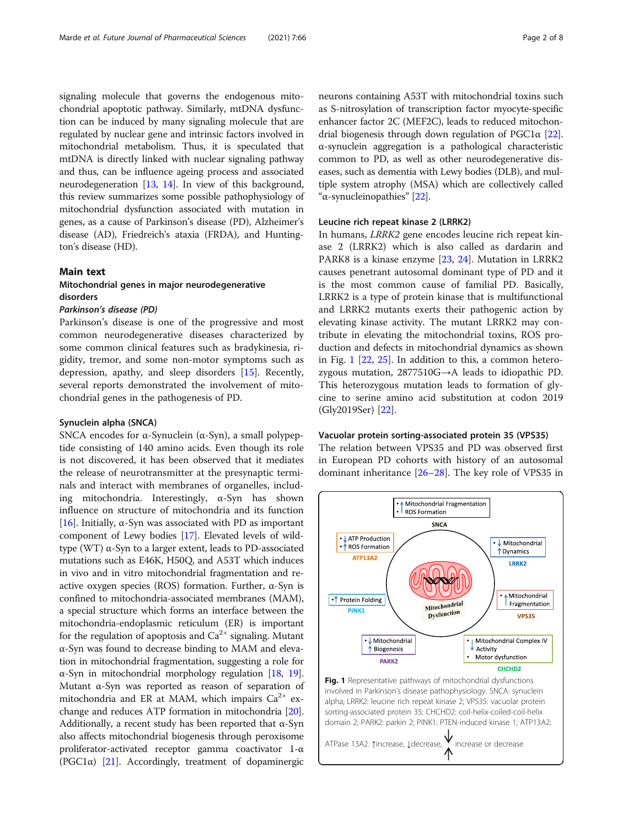<span id="page-1-0"></span>signaling molecule that governs the endogenous mitochondrial apoptotic pathway. Similarly, mtDNA dysfunction can be induced by many signaling molecule that are regulated by nuclear gene and intrinsic factors involved in mitochondrial metabolism. Thus, it is speculated that mtDNA is directly linked with nuclear signaling pathway and thus, can be influence ageing process and associated neurodegeneration [\[13](#page-5-0), [14](#page-5-0)]. In view of this background, this review summarizes some possible pathophysiology of mitochondrial dysfunction associated with mutation in genes, as a cause of Parkinson's disease (PD), Alzheimer's disease (AD), Friedreich's ataxia (FRDA), and Huntington's disease (HD).

#### Main text

#### Mitochondrial genes in major neurodegenerative disorders

#### Parkinson's disease (PD)

Parkinson's disease is one of the progressive and most common neurodegenerative diseases characterized by some common clinical features such as bradykinesia, rigidity, tremor, and some non-motor symptoms such as depression, apathy, and sleep disorders [\[15](#page-5-0)]. Recently, several reports demonstrated the involvement of mitochondrial genes in the pathogenesis of PD.

#### Synuclein alpha (SNCA)

SNCA encodes for α-Synuclein  $(α-Syn)$ , a small polypeptide consisting of 140 amino acids. Even though its role is not discovered, it has been observed that it mediates the release of neurotransmitter at the presynaptic terminals and interact with membranes of organelles, including mitochondria. Interestingly,  $\alpha$ -Syn has shown influence on structure of mitochondria and its function [[16\]](#page-5-0). Initially,  $\alpha$ -Syn was associated with PD as important component of Lewy bodies [\[17\]](#page-5-0). Elevated levels of wildtype (WT) α-Syn to a larger extent, leads to PD-associated mutations such as E46K, H50Q, and A53T which induces in vivo and in vitro mitochondrial fragmentation and reactive oxygen species (ROS) formation. Further,  $\alpha$ -Syn is confined to mitochondria-associated membranes (MAM), a special structure which forms an interface between the mitochondria-endoplasmic reticulum (ER) is important for the regulation of apoptosis and  $Ca^{2+}$  signaling. Mutant α-Syn was found to decrease binding to MAM and elevation in mitochondrial fragmentation, suggesting a role for α-Syn in mitochondrial morphology regulation [\[18](#page-5-0), [19](#page-5-0)]. Mutant α-Syn was reported as reason of separation of mitochondria and ER at MAM, which impairs  $Ca^{2+}$  exchange and reduces ATP formation in mitochondria [[20](#page-5-0)]. Additionally, a recent study has been reported that  $\alpha$ -Syn also affects mitochondrial biogenesis through peroxisome proliferator-activated receptor gamma coactivator 1-α (PGC1 $\alpha$ ) [[21\]](#page-5-0). Accordingly, treatment of dopaminergic

neurons containing A53T with mitochondrial toxins such as S-nitrosylation of transcription factor myocyte-specific enhancer factor 2C (MEF2C), leads to reduced mitochondrial biogenesis through down regulation of  $PGC1α$  [[22](#page-5-0)]. α-synuclein aggregation is a pathological characteristic common to PD, as well as other neurodegenerative diseases, such as dementia with Lewy bodies (DLB), and multiple system atrophy (MSA) which are collectively called "α-synucleinopathies" [\[22\]](#page-5-0).

#### Leucine rich repeat kinase 2 (LRRK2)

In humans, LRRK2 gene encodes leucine rich repeat kinase 2 (LRRK2) which is also called as dardarin and PARK8 is a kinase enzyme [\[23](#page-5-0), [24\]](#page-5-0). Mutation in LRRK2 causes penetrant autosomal dominant type of PD and it is the most common cause of familial PD. Basically, LRRK2 is a type of protein kinase that is multifunctional and LRRK2 mutants exerts their pathogenic action by elevating kinase activity. The mutant LRRK2 may contribute in elevating the mitochondrial toxins, ROS production and defects in mitochondrial dynamics as shown in Fig. 1 [[22,](#page-5-0) [25\]](#page-5-0). In addition to this, a common heterozygous mutation, 2877510G→A leads to idiopathic PD. This heterozygous mutation leads to formation of glycine to serine amino acid substitution at codon 2019 (Gly2019Ser) [\[22\]](#page-5-0).

#### Vacuolar protein sorting-associated protein 35 (VPS35)

The relation between VPS35 and PD was observed first in European PD cohorts with history of an autosomal dominant inheritance [[26](#page-5-0)–[28](#page-5-0)]. The key role of VPS35 in

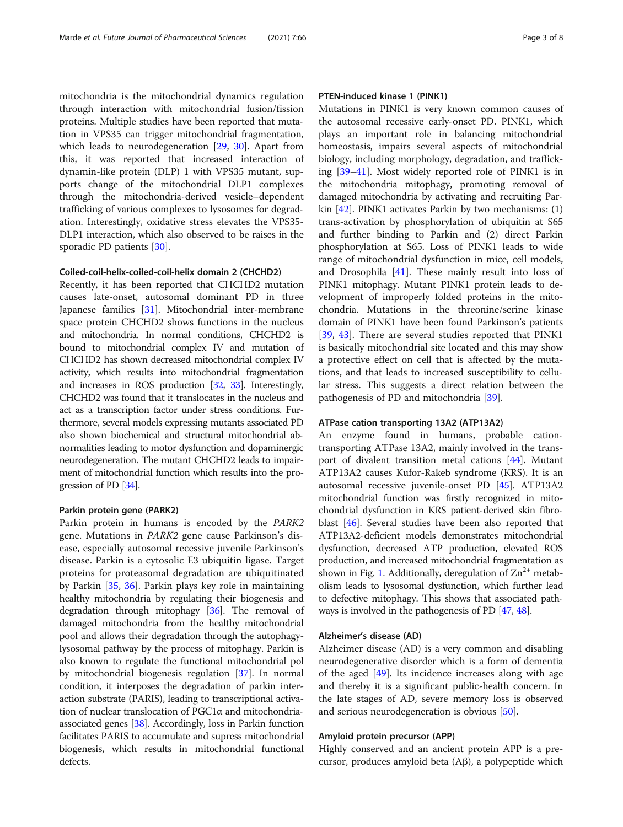mitochondria is the mitochondrial dynamics regulation through interaction with mitochondrial fusion/fission proteins. Multiple studies have been reported that mutation in VPS35 can trigger mitochondrial fragmentation, which leads to neurodegeneration [\[29,](#page-5-0) [30](#page-5-0)]. Apart from this, it was reported that increased interaction of dynamin-like protein (DLP) 1 with VPS35 mutant, supports change of the mitochondrial DLP1 complexes through the mitochondria-derived vesicle–dependent trafficking of various complexes to lysosomes for degradation. Interestingly, oxidative stress elevates the VPS35- DLP1 interaction, which also observed to be raises in the sporadic PD patients [[30\]](#page-5-0).

#### Coiled-coil-helix-coiled-coil-helix domain 2 (CHCHD2)

Recently, it has been reported that CHCHD2 mutation causes late-onset, autosomal dominant PD in three Japanese families [\[31](#page-5-0)]. Mitochondrial inter-membrane space protein CHCHD2 shows functions in the nucleus and mitochondria. In normal conditions, CHCHD2 is bound to mitochondrial complex IV and mutation of CHCHD2 has shown decreased mitochondrial complex IV activity, which results into mitochondrial fragmentation and increases in ROS production [\[32](#page-5-0), [33\]](#page-5-0). Interestingly, CHCHD2 was found that it translocates in the nucleus and act as a transcription factor under stress conditions. Furthermore, several models expressing mutants associated PD also shown biochemical and structural mitochondrial abnormalities leading to motor dysfunction and dopaminergic neurodegeneration. The mutant CHCHD2 leads to impairment of mitochondrial function which results into the progression of PD [\[34\]](#page-5-0).

#### Parkin protein gene (PARK2)

Parkin protein in humans is encoded by the PARK2 gene. Mutations in PARK2 gene cause Parkinson's disease, especially autosomal recessive juvenile Parkinson's disease. Parkin is a cytosolic E3 ubiquitin ligase. Target proteins for proteasomal degradation are ubiquitinated by Parkin [\[35](#page-5-0), [36](#page-5-0)]. Parkin plays key role in maintaining healthy mitochondria by regulating their biogenesis and degradation through mitophagy [\[36](#page-5-0)]. The removal of damaged mitochondria from the healthy mitochondrial pool and allows their degradation through the autophagylysosomal pathway by the process of mitophagy. Parkin is also known to regulate the functional mitochondrial pol by mitochondrial biogenesis regulation [[37\]](#page-5-0). In normal condition, it interposes the degradation of parkin interaction substrate (PARIS), leading to transcriptional activation of nuclear translocation of PGC1α and mitochondriaassociated genes [\[38\]](#page-5-0). Accordingly, loss in Parkin function facilitates PARIS to accumulate and supress mitochondrial biogenesis, which results in mitochondrial functional defects.

#### PTEN-induced kinase 1 (PINK1)

Mutations in PINK1 is very known common causes of the autosomal recessive early-onset PD. PINK1, which plays an important role in balancing mitochondrial homeostasis, impairs several aspects of mitochondrial biology, including morphology, degradation, and trafficking [[39](#page-5-0)–[41\]](#page-5-0). Most widely reported role of PINK1 is in the mitochondria mitophagy, promoting removal of damaged mitochondria by activating and recruiting Parkin [[42\]](#page-6-0). PINK1 activates Parkin by two mechanisms: (1) trans-activation by phosphorylation of ubiquitin at S65 and further binding to Parkin and (2) direct Parkin phosphorylation at S65. Loss of PINK1 leads to wide range of mitochondrial dysfunction in mice, cell models, and Drosophila [\[41\]](#page-5-0). These mainly result into loss of PINK1 mitophagy. Mutant PINK1 protein leads to development of improperly folded proteins in the mitochondria. Mutations in the threonine/serine kinase domain of PINK1 have been found Parkinson's patients [[39,](#page-5-0) [43\]](#page-6-0). There are several studies reported that PINK1 is basically mitochondrial site located and this may show a protective effect on cell that is affected by the mutations, and that leads to increased susceptibility to cellular stress. This suggests a direct relation between the pathogenesis of PD and mitochondria [[39](#page-5-0)].

#### ATPase cation transporting 13A2 (ATP13A2)

An enzyme found in humans, probable cationtransporting ATPase 13A2, mainly involved in the transport of divalent transition metal cations [[44](#page-6-0)]. Mutant ATP13A2 causes Kufor-Rakeb syndrome (KRS). It is an autosomal recessive juvenile-onset PD [\[45](#page-6-0)]. ATP13A2 mitochondrial function was firstly recognized in mitochondrial dysfunction in KRS patient-derived skin fibroblast [\[46\]](#page-6-0). Several studies have been also reported that ATP13A2-deficient models demonstrates mitochondrial dysfunction, decreased ATP production, elevated ROS production, and increased mitochondrial fragmentation as shown in Fig. [1](#page-1-0). Additionally, deregulation of  $\text{Zn}^{2+}$  metabolism leads to lysosomal dysfunction, which further lead to defective mitophagy. This shows that associated pathways is involved in the pathogenesis of PD [[47](#page-6-0), [48\]](#page-6-0).

#### Alzheimer's disease (AD)

Alzheimer disease (AD) is a very common and disabling neurodegenerative disorder which is a form of dementia of the aged  $[49]$  $[49]$  $[49]$ . Its incidence increases along with age and thereby it is a significant public-health concern. In the late stages of AD, severe memory loss is observed and serious neurodegeneration is obvious [[50\]](#page-6-0).

#### Amyloid protein precursor (APP)

Highly conserved and an ancient protein APP is a precursor, produces amyloid beta (Aβ), a polypeptide which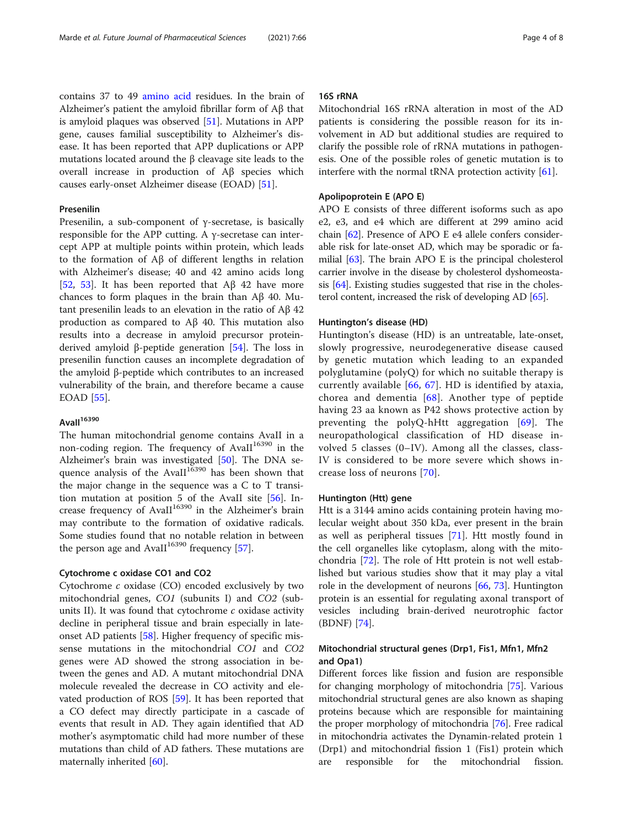contains 37 to 49 [amino acid](https://en.wikipedia.org/wiki/Amino_acid) residues. In the brain of Alzheimer's patient the amyloid fibrillar form of Aβ that is amyloid plaques was observed [\[51](#page-6-0)]. Mutations in APP gene, causes familial susceptibility to Alzheimer's disease. It has been reported that APP duplications or APP mutations located around the β cleavage site leads to the overall increase in production of Aβ species which causes early-onset Alzheimer disease (EOAD) [\[51\]](#page-6-0).

#### Presenilin

Presenilin, a sub-component of γ-secretase, is basically responsible for the APP cutting. A γ-secretase can intercept APP at multiple points within protein, which leads to the formation of Aβ of different lengths in relation with Alzheimer's disease; 40 and 42 amino acids long [[52,](#page-6-0) [53\]](#page-6-0). It has been reported that  $A\beta$  42 have more chances to form plaques in the brain than Aβ 40. Mutant presenilin leads to an elevation in the ratio of Aβ 42 production as compared to Aβ 40. This mutation also results into a decrease in amyloid precursor proteinderived amyloid β-peptide generation  $[54]$  $[54]$ . The loss in presenilin function causes an incomplete degradation of the amyloid β-peptide which contributes to an increased vulnerability of the brain, and therefore became a cause EOAD [\[55\]](#page-6-0).

#### Avall<sup>16390</sup>

The human mitochondrial genome contains AvaII in a non-coding region. The frequency of AvaII<sup>16390</sup> in the Alzheimer's brain was investigated [\[50](#page-6-0)]. The DNA sequence analysis of the AvaII $16390$  has been shown that the major change in the sequence was a C to T transition mutation at position 5 of the AvaII site [\[56](#page-6-0)]. Increase frequency of AvaII $16390$  in the Alzheimer's brain may contribute to the formation of oxidative radicals. Some studies found that no notable relation in between the person age and AvaII<sup>16390</sup> frequency [\[57](#page-6-0)].

#### Cytochrome c oxidase CO1 and CO2

Cytochrome c oxidase (CO) encoded exclusively by two mitochondrial genes, CO1 (subunits I) and CO2 (subunits II). It was found that cytochrome  $c$  oxidase activity decline in peripheral tissue and brain especially in lateonset AD patients [[58](#page-6-0)]. Higher frequency of specific missense mutations in the mitochondrial CO1 and CO2 genes were AD showed the strong association in between the genes and AD. A mutant mitochondrial DNA molecule revealed the decrease in CO activity and elevated production of ROS [[59](#page-6-0)]. It has been reported that a CO defect may directly participate in a cascade of events that result in AD. They again identified that AD mother's asymptomatic child had more number of these mutations than child of AD fathers. These mutations are maternally inherited [[60](#page-6-0)].

#### 16S rRNA

Mitochondrial 16S rRNA alteration in most of the AD patients is considering the possible reason for its involvement in AD but additional studies are required to clarify the possible role of rRNA mutations in pathogenesis. One of the possible roles of genetic mutation is to interfere with the normal tRNA protection activity [\[61\]](#page-6-0).

#### Apolipoprotein E (APO E)

APO E consists of three different isoforms such as apo e2, e3, and e4 which are different at 299 amino acid chain [[62](#page-6-0)]. Presence of APO E e4 allele confers considerable risk for late-onset AD, which may be sporadic or familial [[63\]](#page-6-0). The brain APO E is the principal cholesterol carrier involve in the disease by cholesterol dyshomeostasis [[64\]](#page-6-0). Existing studies suggested that rise in the cholesterol content, increased the risk of developing AD [\[65](#page-6-0)].

#### Huntington's disease (HD)

Huntington's disease (HD) is an untreatable, late-onset, slowly progressive, neurodegenerative disease caused by genetic mutation which leading to an expanded polyglutamine (polyQ) for which no suitable therapy is currently available [\[66,](#page-6-0) [67\]](#page-6-0). HD is identified by ataxia, chorea and dementia  $[68]$  $[68]$ . Another type of peptide having 23 aa known as P42 shows protective action by preventing the polyQ-hHtt aggregation [[69](#page-6-0)]. The neuropathological classification of HD disease involved 5 classes (0–IV). Among all the classes, class-IV is considered to be more severe which shows increase loss of neurons [[70](#page-6-0)].

#### Huntington (Htt) gene

Htt is a 3144 amino acids containing protein having molecular weight about 350 kDa, ever present in the brain as well as peripheral tissues [[71\]](#page-6-0). Htt mostly found in the cell organelles like cytoplasm, along with the mitochondria [[72](#page-6-0)]. The role of Htt protein is not well established but various studies show that it may play a vital role in the development of neurons [\[66](#page-6-0), [73](#page-6-0)]. Huntington protein is an essential for regulating axonal transport of vesicles including brain-derived neurotrophic factor (BDNF) [[74\]](#page-6-0).

#### Mitochondrial structural genes (Drp1, Fis1, Mfn1, Mfn2 and Opa1)

Different forces like fission and fusion are responsible for changing morphology of mitochondria [[75\]](#page-6-0). Various mitochondrial structural genes are also known as shaping proteins because which are responsible for maintaining the proper morphology of mitochondria [\[76](#page-6-0)]. Free radical in mitochondria activates the Dynamin-related protein 1 (Drp1) and mitochondrial fission 1 (Fis1) protein which are responsible for the mitochondrial fission.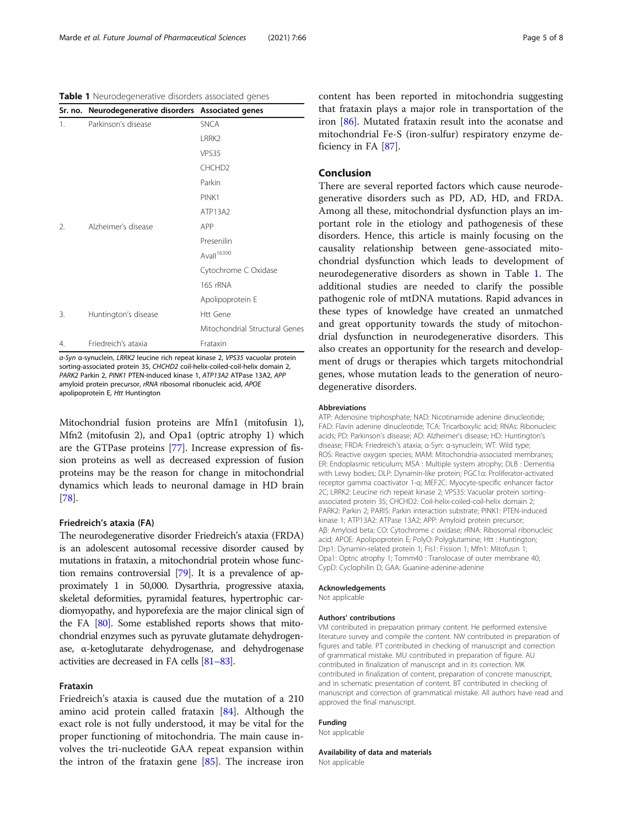Table 1 Neurodegenerative disorders associated genes

|                  | Sr. no. Neurodegenerative disorders Associated genes |                                |
|------------------|------------------------------------------------------|--------------------------------|
| 1.               | Parkinson's disease                                  | <b>SNCA</b>                    |
|                  |                                                      | LRRK <sub>2</sub>              |
|                  |                                                      | VPS35                          |
|                  |                                                      | CHCHD <sub>2</sub>             |
|                  |                                                      | Parkin                         |
|                  |                                                      | PINK1                          |
|                  |                                                      | ATP13A2                        |
| $\mathfrak{D}$ . | Alzheimer's disease                                  | APP                            |
|                  |                                                      | Presenilin                     |
|                  |                                                      | Avall <sup>16390</sup>         |
|                  |                                                      | Cytochrome C Oxidase           |
|                  |                                                      | 16S rRNA                       |
|                  |                                                      | Apolipoprotein E               |
| 3.               | Huntington's disease                                 | <b>Htt Gene</b>                |
|                  |                                                      | Mitochondrial Structural Genes |
| 4.               | Friedreich's ataxia                                  | Frataxin                       |

α-Syn α-synuclein, LRRK2 leucine rich repeat kinase 2, VPS35 vacuolar protein sorting-associated protein 35, CHCHD2 coil-helix-coiled-coil-helix domain 2, PARK2 Parkin 2, PINK1 PTEN-induced kinase 1, ATP13A2 ATPase 13A2, APP amyloid protein precursor, rRNA ribosomal ribonucleic acid, APOE apolipoprotein E, Htt Huntington

Mitochondrial fusion proteins are Mfn1 (mitofusin 1), Mfn2 (mitofusin 2), and Opa1 (optric atrophy 1) which are the GTPase proteins [\[77\]](#page-6-0). Increase expression of fission proteins as well as decreased expression of fusion proteins may be the reason for change in mitochondrial dynamics which leads to neuronal damage in HD brain [[78](#page-6-0)].

#### Friedreich's ataxia (FA)

The neurodegenerative disorder Friedreich's ataxia (FRDA) is an adolescent autosomal recessive disorder caused by mutations in frataxin, a mitochondrial protein whose function remains controversial [\[79\]](#page-6-0). It is a prevalence of approximately 1 in 50,000. Dysarthria, progressive ataxia, skeletal deformities, pyramidal features, hypertrophic cardiomyopathy, and hyporefexia are the major clinical sign of the FA [\[80\]](#page-6-0). Some established reports shows that mitochondrial enzymes such as pyruvate glutamate dehydrogenase, α-ketoglutarate dehydrogenase, and dehydrogenase activities are decreased in FA cells [\[81](#page-6-0)–[83\]](#page-6-0).

#### Frataxin

Friedreich's ataxia is caused due the mutation of a 210 amino acid protein called frataxin [\[84](#page-6-0)]. Although the exact role is not fully understood, it may be vital for the proper functioning of mitochondria. The main cause involves the tri-nucleotide GAA repeat expansion within the intron of the frataxin gene [[85\]](#page-6-0). The increase iron content has been reported in mitochondria suggesting that frataxin plays a major role in transportation of the iron [\[86](#page-6-0)]. Mutated frataxin result into the aconatse and mitochondrial Fe-S (iron-sulfur) respiratory enzyme deficiency in FA [[87\]](#page-7-0).

#### Conclusion

There are several reported factors which cause neurodegenerative disorders such as PD, AD, HD, and FRDA. Among all these, mitochondrial dysfunction plays an important role in the etiology and pathogenesis of these disorders. Hence, this article is mainly focusing on the causality relationship between gene-associated mitochondrial dysfunction which leads to development of neurodegenerative disorders as shown in Table 1. The additional studies are needed to clarify the possible pathogenic role of mtDNA mutations. Rapid advances in these types of knowledge have created an unmatched and great opportunity towards the study of mitochondrial dysfunction in neurodegenerative disorders. This also creates an opportunity for the research and development of drugs or therapies which targets mitochondrial genes, whose mutation leads to the generation of neurodegenerative disorders.

#### Abbreviations

ATP: Adenosine triphosphate; NAD: Nicotinamide adenine dinucleotide; FAD: Flavin adenine dinucleotide; TCA: Tricarboxylic acid; RNAs: Ribonucleic acids; PD: Parkinson's disease; AD: Alzheimer's disease; HD: Huntington's disease; FRDA: Friedreich's ataxia; α-Syn: α-synuclein; WT: Wild type; ROS: Reactive oxygen species; MAM: Mitochondria-associated membranes; ER: Endoplasmic reticulum; MSA : Multiple system atrophy; DLB : Dementia with Lewy bodies; DLP: Dynamin-like protein; PGC1α: Proliferator-activated receptor gamma coactivator 1-α; MEF2C: Myocyte-specific enhancer factor 2C; LRRK2: Leucine rich repeat kinase 2; VPS35: Vacuolar protein sortingassociated protein 35; CHCHD2: Coil-helix-coiled-coil-helix domain 2; PARK2: Parkin 2; PARIS: Parkin interaction substrate; PINK1: PTEN-induced kinase 1; ATP13A2: ATPase 13A2; APP: Amyloid protein precursor; Aβ: Amyloid beta; CO: Cytochrome c oxidase; rRNA: Ribosomal ribonucleic acid; APOE: Apolipoprotein E; PolyO: Polyglutamine; Htt : Huntington; Drp1: Dynamin-related protein 1; Fis1: Fission 1; Mfn1: Mitofusin 1; Opa1: Optric atrophy 1; Tomm40 : Translocase of outer membrane 40; CypD: Cyclophilin D; GAA: Guanine-adenine-adenine

#### Acknowledgements

Not applicable

#### Authors' contributions

VM contributed in preparation primary content. He performed extensive literature survey and compile the content. NW contributed in preparation of figures and table. PT contributed in checking of manuscript and correction of grammatical mistake. MU contributed in preparation of figure. AU contributed in finalization of manuscript and in its correction. MK contributed in finalization of content, preparation of concrete manuscript, and in schematic presentation of content. BT contributed in checking of manuscript and correction of grammatical mistake. All authors have read and approved the final manuscript.

#### Funding

Not applicable

Availability of data and materials Not applicable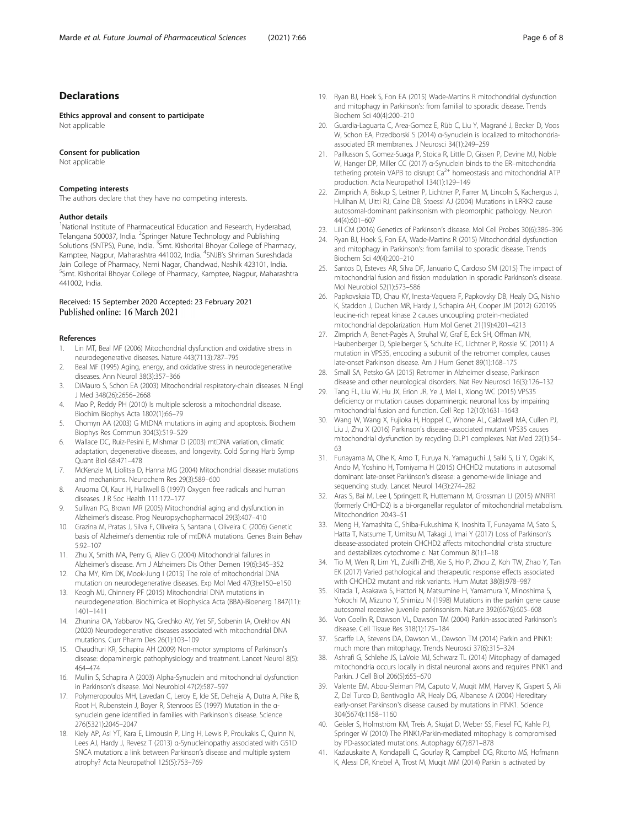#### <span id="page-5-0"></span>**Declarations**

Ethics approval and consent to participate Not applicable

#### Consent for publication

Not applicable

#### Competing interests

The authors declare that they have no competing interests.

#### Author details

<sup>1</sup>National Institute of Pharmaceutical Education and Research, Hyderabad, Telangana 500037, India. <sup>2</sup>Springer Nature Technology and Publishing Solutions (SNTPS), Pune, India. <sup>3</sup>Smt. Kishoritai Bhoyar College of Pharmacy, Kamptee, Nagpur, Maharashtra 441002, India. <sup>4</sup>SNJB's Shriman Sureshdada Jain College of Pharmacy, Nemi Nagar, Chandwad, Nashik 423101, India. <sup>5</sup>Smt. Kishoritai Bhoyar College of Pharmacy, Kamptee, Nagpur, Maharashtra 441002, India.

# Received: 15 September 2020 Accepted: 23 February 2021

#### References

- 1. Lin MT, Beal MF (2006) Mitochondrial dysfunction and oxidative stress in neurodegenerative diseases. Nature 443(7113):787–795
- Beal MF (1995) Aging, energy, and oxidative stress in neurodegenerative diseases. Ann Neurol 38(3):357–366
- 3. DiMauro S, Schon EA (2003) Mitochondrial respiratory-chain diseases. N Engl J Med 348(26):2656–2668
- 4. Mao P, Reddy PH (2010) Is multiple sclerosis a mitochondrial disease. Biochim Biophys Acta 1802(1):66–79
- 5. Chomyn AA (2003) G MtDNA mutations in aging and apoptosis. Biochem Biophys Res Commun 304(3):519–529
- 6. Wallace DC, Ruiz-Pesini E, Mishmar D (2003) mtDNA variation, climatic adaptation, degenerative diseases, and longevity. Cold Spring Harb Symp Quant Biol 68:471–478
- 7. McKenzie M, Liolitsa D, Hanna MG (2004) Mitochondrial disease: mutations and mechanisms. Neurochem Res 29(3):589–600
- 8. Aruoma OI, Kaur H, Halliwell B (1997) Oxygen free radicals and human diseases. J R Soc Health 111:172–177
- 9. Sullivan PG, Brown MR (2005) Mitochondrial aging and dysfunction in Alzheimer's disease. Prog Neuropsychopharmacol 29(3):407–410
- 10. Grazina M, Pratas J, Silva F, Oliveira S, Santana I, Oliveira C (2006) Genetic basis of Alzheimer's dementia: role of mtDNA mutations. Genes Brain Behav 5:92–107
- 11. Zhu X, Smith MA, Perry G, Aliev G (2004) Mitochondrial failures in Alzheimer's disease. Am J Alzheimers Dis Other Demen 19(6):345–352
- 12. Cha MY, Kim DK, Mook-Jung I (2015) The role of mitochondrial DNA mutation on neurodegenerative diseases. Exp Mol Med 47(3):e150–e150
- 13. Keogh MJ, Chinnery PF (2015) Mitochondrial DNA mutations in neurodegeneration. Biochimica et Biophysica Acta (BBA)-Bioenerg 1847(11): 1401–1411
- 14. Zhunina OA, Yabbarov NG, Grechko AV, Yet SF, Sobenin IA, Orekhov AN (2020) Neurodegenerative diseases associated with mitochondrial DNA mutations. Curr Pharm Des 26(1):103–109
- 15. Chaudhuri KR, Schapira AH (2009) Non-motor symptoms of Parkinson's disease: dopaminergic pathophysiology and treatment. Lancet Neurol 8(5): 464–474
- 16. Mullin S, Schapira A (2003) Alpha-Synuclein and mitochondrial dysfunction in Parkinson's disease. Mol Neurobiol 47(2):587–597
- 17. Polymeropoulos MH, Lavedan C, Leroy E, Ide SE, Dehejia A, Dutra A, Pike B, Root H, Rubenstein J, Boyer R, Stenroos ES (1997) Mutation in the αsynuclein gene identified in families with Parkinson's disease. Science 276(5321):2045–2047
- 18. Kiely AP, Asi YT, Kara E, Limousin P, Ling H, Lewis P, Proukakis C, Quinn N, Lees AJ, Hardy J, Revesz T (2013) α-Synucleinopathy associated with G51D SNCA mutation: a link between Parkinson's disease and multiple system atrophy? Acta Neuropathol 125(5):753–769
- 19. Ryan BJ, Hoek S, Fon EA (2015) Wade-Martins R mitochondrial dysfunction and mitophagy in Parkinson's: from familial to sporadic disease. Trends Biochem Sci 40(4):200–210
- 20. Guardia-Laguarta C, Area-Gomez E, Rüb C, Liu Y, Magrané J, Becker D, Voos W, Schon EA, Przedborski S (2014) α-Synuclein is localized to mitochondriaassociated ER membranes. J Neurosci 34(1):249–259
- 21. Paillusson S, Gomez-Suaga P, Stoica R, Little D, Gissen P, Devine MJ, Noble W, Hanger DP, Miller CC (2017) α-Synuclein binds to the ER–mitochondria tethering protein VAPB to disrupt  $Ca^{2+}$  homeostasis and mitochondrial ATP production. Acta Neuropathol 134(1):129–149
- 22. Zimprich A, Biskup S, Leitner P, Lichtner P, Farrer M, Lincoln S, Kachergus J, Hulihan M, Uitti RJ, Calne DB, Stoessl AJ (2004) Mutations in LRRK2 cause autosomal-dominant parkinsonism with pleomorphic pathology. Neuron 44(4):601–607
- 23. Lill CM (2016) Genetics of Parkinson's disease. Mol Cell Probes 30(6):386–396
- 24. Ryan BJ, Hoek S, Fon EA, Wade-Martins R (2015) Mitochondrial dysfunction and mitophagy in Parkinson's: from familial to sporadic disease. Trends Biochem Sci 40(4):200–210
- 25. Santos D, Esteves AR, Silva DF, Januario C, Cardoso SM (2015) The impact of mitochondrial fusion and fission modulation in sporadic Parkinson's disease. Mol Neurobiol 52(1):573–586
- 26. Papkovskaia TD, Chau KY, Inesta-Vaquera F, Papkovsky DB, Healy DG, Nishio K, Staddon J, Duchen MR, Hardy J, Schapira AH, Cooper JM (2012) G2019S leucine-rich repeat kinase 2 causes uncoupling protein-mediated mitochondrial depolarization. Hum Mol Genet 21(19):4201–4213
- 27. Zimprich A, Benet-Pagès A, Struhal W, Graf E, Eck SH, Offman MN, Haubenberger D, Spielberger S, Schulte EC, Lichtner P, Rossle SC (2011) A mutation in VPS35, encoding a subunit of the retromer complex, causes late-onset Parkinson disease. Am J Hum Genet 89(1):168–175
- 28. Small SA, Petsko GA (2015) Retromer in Alzheimer disease, Parkinson disease and other neurological disorders. Nat Rev Neurosci 16(3):126–132
- 29. Tang FL, Liu W, Hu JX, Erion JR, Ye J, Mei L, Xiong WC (2015) VPS35 deficiency or mutation causes dopaminergic neuronal loss by impairing mitochondrial fusion and function. Cell Rep 12(10):1631–1643
- 30. Wang W, Wang X, Fujioka H, Hoppel C, Whone AL, Caldwell MA, Cullen PJ, Liu J, Zhu X (2016) Parkinson's disease–associated mutant VPS35 causes mitochondrial dysfunction by recycling DLP1 complexes. Nat Med 22(1):54– 63
- 31. Funayama M, Ohe K, Amo T, Furuya N, Yamaguchi J, Saiki S, Li Y, Ogaki K, Ando M, Yoshino H, Tomiyama H (2015) CHCHD2 mutations in autosomal dominant late-onset Parkinson's disease: a genome-wide linkage and sequencing study. Lancet Neurol 14(3):274–282
- 32. Aras S, Bai M, Lee I, Springett R, Huttemann M, Grossman LI (2015) MNRR1 (formerly CHCHD2) is a bi-organellar regulator of mitochondrial metabolism. Mitochondrion 20:43–51
- 33. Meng H, Yamashita C, Shiba-Fukushima K, Inoshita T, Funayama M, Sato S, Hatta T, Natsume T, Umitsu M, Takagi J, Imai Y (2017) Loss of Parkinson's disease-associated protein CHCHD2 affects mitochondrial crista structure and destabilizes cytochrome c. Nat Commun 8(1):1–18
- 34. Tio M, Wen R, Lim YL, Zukifli ZHB, Xie S, Ho P, Zhou Z, Koh TW, Zhao Y, Tan EK (2017) Varied pathological and therapeutic response effects associated with CHCHD2 mutant and risk variants. Hum Mutat 38(8):978–987
- 35. Kitada T, Asakawa S, Hattori N, Matsumine H, Yamamura Y, Minoshima S, Yokochi M, Mizuno Y, Shimizu N (1998) Mutations in the parkin gene cause autosomal recessive juvenile parkinsonism. Nature 392(6676):605–608
- 36. Von Coelln R, Dawson VL, Dawson TM (2004) Parkin-associated Parkinson's disease. Cell Tissue Res 318(1):175–184
- 37. Scarffe LA, Stevens DA, Dawson VL, Dawson TM (2014) Parkin and PINK1: much more than mitophagy. Trends Neurosci 37(6):315–324
- 38. Ashrafi G, Schlehe JS, LaVoie MJ, Schwarz TL (2014) Mitophagy of damaged mitochondria occurs locally in distal neuronal axons and requires PINK1 and Parkin. J Cell Biol 206(5):655–670
- 39. Valente EM, Abou-Sleiman PM, Caputo V, Muqit MM, Harvey K, Gispert S, Ali Z, Del Turco D, Bentivoglio AR, Healy DG, Albanese A (2004) Hereditary early-onset Parkinson's disease caused by mutations in PINK1. Science 304(5674):1158–1160
- 40. Geisler S, Holmström KM, Treis A, Skujat D, Weber SS, Fiesel FC, Kahle PJ, Springer W (2010) The PINK1/Parkin-mediated mitophagy is compromised by PD-associated mutations. Autophagy 6(7):871–878
- 41. Kazlauskaite A, Kondapalli C, Gourlay R, Campbell DG, Ritorto MS, Hofmann K, Alessi DR, Knebel A, Trost M, Muqit MM (2014) Parkin is activated by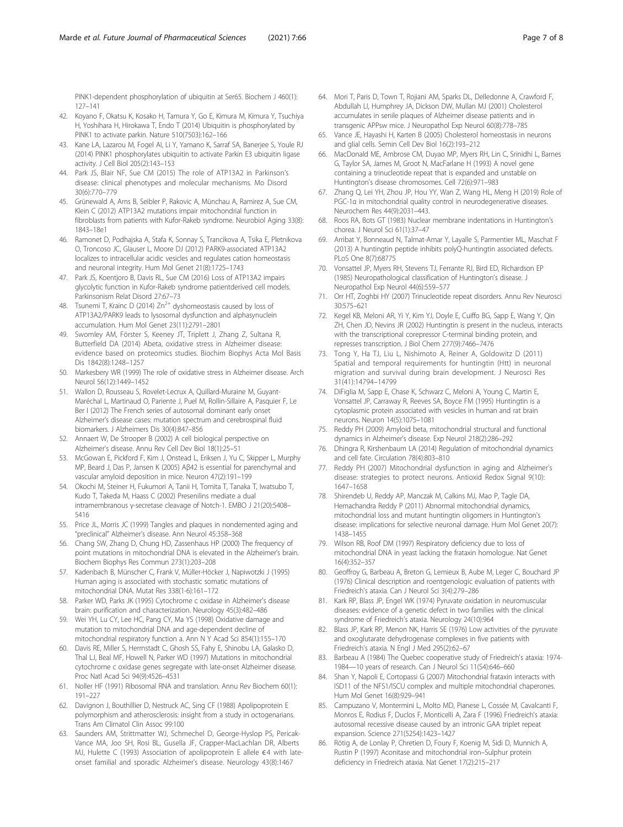<span id="page-6-0"></span>PINK1-dependent phosphorylation of ubiquitin at Ser65. Biochem J 460(1): 127–141

- 42. Koyano F, Okatsu K, Kosako H, Tamura Y, Go E, Kimura M, Kimura Y, Tsuchiya H, Yoshihara H, Hirokawa T, Endo T (2014) Ubiquitin is phosphorylated by PINK1 to activate parkin. Nature 510(7503):162–166
- 43. Kane LA, Lazarou M, Fogel AI, Li Y, Yamano K, Sarraf SA, Banerjee S, Youle RJ (2014) PINK1 phosphorylates ubiquitin to activate Parkin E3 ubiquitin ligase activity. J Cell Biol 205(2):143–153
- 44. Park JS, Blair NF, Sue CM (2015) The role of ATP13A2 in Parkinson's disease: clinical phenotypes and molecular mechanisms. Mo Disord 30(6):770–779
- 45. Grünewald A, Arns B, Seibler P, Rakovic A, Münchau A, Ramirez A, Sue CM, Klein C (2012) ATP13A2 mutations impair mitochondrial function in fibroblasts from patients with Kufor-Rakeb syndrome. Neurobiol Aging 33(8): 1843–18e1
- 46. Ramonet D, Podhajska A, Stafa K, Sonnay S, Trancikova A, Tsika E, Pletnikova O, Troncoso JC, Glauser L, Moore DJ (2012) PARK9-associated ATP13A2 localizes to intracellular acidic vesicles and regulates cation homeostasis and neuronal integrity. Hum Mol Genet 21(8):1725–1743
- 47. Park JS, Koentjoro B, Davis RL, Sue CM (2016) Loss of ATP13A2 impairs glycolytic function in Kufor-Rakeb syndrome patientderived cell models. Parkinsonism Relat Disord 27:67–73
- 48. Tsunemi T, Krainc D (2014)  $Zn^{2+}$  dyshomeostasis caused by loss of ATP13A2/PARK9 leads to lysosomal dysfunction and alphasynuclein accumulation. Hum Mol Genet 23(11):2791–2801
- 49. Swomley AM, Förster S, Keeney JT, Triplett J, Zhang Z, Sultana R, Butterfield DA (2014) Abeta, oxidative stress in Alzheimer disease: evidence based on proteomics studies. Biochim Biophys Acta Mol Basis Dis 1842(8):1248–1257
- 50. Markesbery WR (1999) The role of oxidative stress in Alzheimer disease. Arch Neurol 56(12):1449–1452
- 51. Wallon D, Rousseau S, Rovelet-Lecrux A, Quillard-Muraine M, Guyant-Maréchal L, Martinaud O, Pariente J, Puel M, Rollin-Sillaire A, Pasquier F, Le Ber I (2012) The French series of autosomal dominant early onset Alzheimer's disease cases: mutation spectrum and cerebrospinal fluid biomarkers. J Alzheimers Dis 30(4):847–856
- 52. Annaert W, De Strooper B (2002) A cell biological perspective on Alzheimer's disease. Annu Rev Cell Dev Biol 18(1):25–51
- 53. McGowan E, Pickford F, Kim J, Onstead L, Eriksen J, Yu C, Skipper L, Murphy MP, Beard J, Das P, Jansen K (2005) Aβ42 is essential for parenchymal and vascular amyloid deposition in mice. Neuron 47(2):191–199
- 54. Okochi M, Steiner H, Fukumori A, Tanii H, Tomita T, Tanaka T, Iwatsubo T, Kudo T, Takeda M, Haass C (2002) Presenilins mediate a dual intramembranous γ-secretase cleavage of Notch-1. EMBO J 21(20):5408– 5416
- 55. Price JL, Morris JC (1999) Tangles and plaques in nondemented aging and "preclinical" Alzheimer's disease. Ann Neurol 45:358–368
- 56. Chang SW, Zhang D, Chung HD, Zassenhaus HP (2000) The frequency of point mutations in mitochondrial DNA is elevated in the Alzheimer's brain. Biochem Biophys Res Commun 273(1):203–208
- 57. Kadenbach B, Münscher C, Frank V, Müller-Höcker J, Napiwotzki J (1995) Human aging is associated with stochastic somatic mutations of mitochondrial DNA. Mutat Res 338(1-6):161–172
- Parker WD, Parks JK (1995) Cytochrome c oxidase in Alzheimer's disease brain: purification and characterization. Neurology 45(3):482–486
- 59. Wei YH, Lu CY, Lee HC, Pang CY, Ma YS (1998) Oxidative damage and mutation to mitochondrial DNA and age-dependent decline of mitochondrial respiratory function a. Ann N Y Acad Sci 854(1):155–170
- 60. Davis RE, Miller S, Herrnstadt C, Ghosh SS, Fahy E, Shinobu LA, Galasko D, Thal LJ, Beal MF, Howell N, Parker WD (1997) Mutations in mitochondrial cytochrome c oxidase genes segregate with late-onset Alzheimer disease. Proc Natl Acad Sci 94(9):4526–4531
- 61. Noller HF (1991) Ribosomal RNA and translation. Annu Rev Biochem 60(1): 191–227
- 62. Davignon J, Bouthillier D, Nestruck AC, Sing CF (1988) Apolipoprotein E polymorphism and atherosclerosis: insight from a study in octogenarians. Trans Am Climatol Clin Assoc 99:100
- 63. Saunders AM, Strittmatter WJ, Schmechel D, George-Hyslop PS, Pericak-Vance MA, Joo SH, Rosi BL, Gusella JF, Crapper-MacLachlan DR, Alberts MJ, Hulette C (1993) Association of apolipoprotein E allele ∈4 with lateonset familial and sporadic Alzheimer's disease. Neurology 43(8):1467
- 64. Mori T, Paris D, Town T, Rojiani AM, Sparks DL, Delledonne A, Crawford F, Abdullah LI, Humphrey JA, Dickson DW, Mullan MJ (2001) Cholesterol accumulates in senile plaques of Alzheimer disease patients and in transgenic APPsw mice. J Neuropathol Exp Neurol 60(8):778–785
- 65. Vance JE, Hayashi H, Karten B (2005) Cholesterol homeostasis in neurons and glial cells. Semin Cell Dev Biol 16(2):193–212
- 66. MacDonald ME, Ambrose CM, Duyao MP, Myers RH, Lin C, Srinidhi L, Barnes G, Taylor SA, James M, Groot N, MacFarlane H (1993) A novel gene containing a trinucleotide repeat that is expanded and unstable on Huntington's disease chromosomes. Cell 72(6):971–983
- 67. Zhang Q, Lei YH, Zhou JP, Hou YY, Wan Z, Wang HL, Meng H (2019) Role of PGC-1α in mitochondrial quality control in neurodegenerative diseases. Neurochem Res 44(9):2031–443.
- 68. Roos RA, Bots GT (1983) Nuclear membrane indentations in Huntington's chorea. J Neurol Sci 61(1):37–47
- 69. Arribat Y, Bonneaud N, Talmat-Amar Y, Layalle S, Parmentier ML, Maschat F (2013) A huntingtin peptide inhibits polyQ-huntingtin associated defects. PLoS One 8(7):68775
- 70. Vonsattel JP, Myers RH, Stevens TJ, Ferrante RJ, Bird ED, Richardson EP (1985) Neuropathological classification of Huntington's disease. J Neuropathol Exp Neurol 44(6):559–577
- 71. Orr HT, Zoghbi HY (2007) Trinucleotide repeat disorders. Annu Rev Neurosci 30:575–621
- 72. Kegel KB, Meloni AR, Yi Y, Kim YJ, Doyle E, Cuiffo BG, Sapp E, Wang Y, Qin ZH, Chen JD, Nevins JR (2002) Huntingtin is present in the nucleus, interacts with the transcriptional corepressor C-terminal binding protein, and represses transcription. J Biol Chem 277(9):7466–7476
- 73. Tong Y, Ha TJ, Liu L, Nishimoto A, Reiner A, Goldowitz D (2011) Spatial and temporal requirements for huntingtin (Htt) in neuronal migration and survival during brain development. J Neurosci Res 31(41):14794–14799
- 74. DiFiglia M, Sapp E, Chase K, Schwarz C, Meloni A, Young C, Martin E, Vonsattel JP, Carraway R, Reeves SA, Boyce FM (1995) Huntingtin is a cytoplasmic protein associated with vesicles in human and rat brain neurons. Neuron 14(5):1075–1081
- 75. Reddy PH (2009) Amyloid beta, mitochondrial structural and functional dynamics in Alzheimer's disease. Exp Neurol 218(2):286–292
- 76. Dhingra R, Kirshenbaum LA (2014) Regulation of mitochondrial dynamics and cell fate. Circulation 78(4):803–810
- 77. Reddy PH (2007) Mitochondrial dysfunction in aging and Alzheimer's disease: strategies to protect neurons. Antioxid Redox Signal 9(10): 1647–1658
- 78. Shirendeb U, Reddy AP, Manczak M, Calkins MJ, Mao P, Tagle DA, Hemachandra Reddy P (2011) Abnormal mitochondrial dynamics, mitochondrial loss and mutant huntingtin oligomers in Huntington's disease: implications for selective neuronal damage. Hum Mol Genet 20(7): 1438–1455
- 79. Wilson RB, Roof DM (1997) Respiratory deficiency due to loss of mitochondrial DNA in yeast lacking the frataxin homologue. Nat Genet 16(4):352–357
- 80. Geoffroy G, Barbeau A, Breton G, Lemieux B, Aube M, Leger C, Bouchard JP (1976) Clinical description and roentgenologic evaluation of patients with Friedreich's ataxia. Can J Neurol Sci 3(4):279–286
- 81. Kark RP, Blass JP, Engel WK (1974) Pyruvate oxidation in neuromuscular diseases: evidence of a genetic defect in two families with the clinical syndrome of Friedreich's ataxia. Neurology 24(10):964
- 82. Blass JP, Kark RP, Menon NK, Harris SE (1976) Low activities of the pyruvate and oxoglutarate dehydrogenase complexes in five patients with Friedreich's ataxia. N Engl J Med 295(2):62–67
- 83. Barbeau A (1984) The Quebec cooperative study of Friedreich's ataxia: 1974- 1984—10 years of research. Can J Neurol Sci 11(S4):646–660
- 84. Shan Y, Napoli E, Cortopassi G (2007) Mitochondrial frataxin interacts with ISD11 of the NFS1/ISCU complex and multiple mitochondrial chaperones. Hum Mol Genet 16(8):929–941
- 85. Campuzano V, Montermini L, Molto MD, Pianese L, Cossée M, Cavalcanti F, Monros E, Rodius F, Duclos F, Monticelli A, Zara F (1996) Friedreich's ataxia: autosomal recessive disease caused by an intronic GAA triplet repeat expansion. Science 271(5254):1423–1427
- 86. Rötig A, de Lonlay P, Chretien D, Foury F, Koenig M, Sidi D, Munnich A, Rustin P (1997) Aconitase and mitochondrial iron–Sulphur protein deficiency in Friedreich ataxia. Nat Genet 17(2):215–217